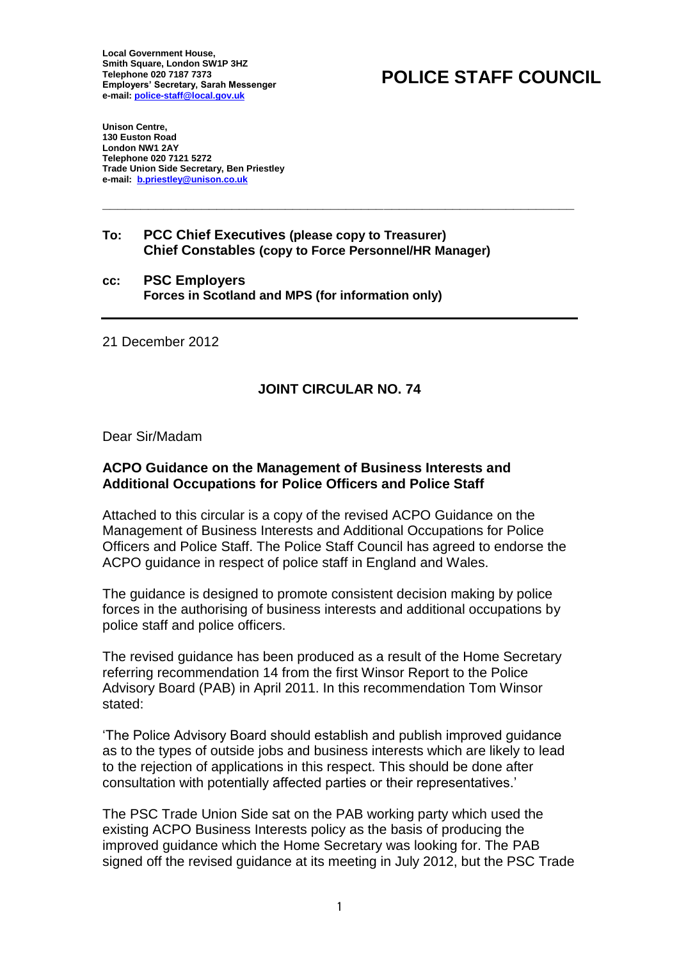**Local Government House, Smith Square, London SW1P 3HZ Telephone 020 7187 7373 Employers' Secretary, Sarah Messenger e-mail: [police-staff@local.gov.uk](mailto:police-staff@local.gov.uk)** 

## **POLICE STAFF COUNCIL**

**Unison Centre, 130 Euston Road London NW1 2AY Telephone 020 7121 5272 Trade Union Side Secretary, Ben Priestley e-mail: [b.priestley@unison.co.uk](mailto:b.priestley@unison.co.uk)**

## **To: PCC Chief Executives (please copy to Treasurer) Chief Constables (copy to Force Personnel/HR Manager)**

**c: PSC Employers Forces in Scotland and MPS (for information only) c**

21 December 2012

## **JOINT CIRCULAR NO. 74**

**\_\_\_\_\_\_\_\_\_\_\_\_\_\_\_\_\_\_\_\_\_\_\_\_\_\_\_\_\_\_\_\_\_\_\_\_\_\_\_\_\_\_\_\_\_\_\_\_\_\_\_\_\_\_\_\_\_\_\_\_\_\_** 

Dear Sir/Madam

## **CPO Guidance on the Management of Business Interests and A dditional Occupations for Police Officers and Police Staff A**

Attached to this circular is a copy of the revised ACPO Guidance on the Management of Business Interests and Additional Occupations for Police Officers and Police Staff. The Police Staff Council has agreed to endorse the ACPO guidance in respect of police staff in England and Wales.

he guidance is designed to promote consistent decision making by police T forces in the authorising of business interests and additional occupations by police staff and police officers.

The revised guidance has been produced as a result of the Home Secretary referring recommendation 14 from the first Winsor Report to the Police Advisory Board (PAB) in April 2011. In this recommendation Tom Winsor stated:

'The Police Advisory Board should establish and publish improved guidance as to the types of outside jobs and business interests which are likely to lead to the rejection of applications in this respect. This should be done after consultation with potentially affected parties or their representatives.'

The PSC Trade Union Side sat on the PAB working party which used the existing ACPO Business Interests policy as the basis of producing the improved guidance which the Home Secretary was looking for. The PAB signed off the revised guidance at its meeting in July 2012, but the PSC Trade